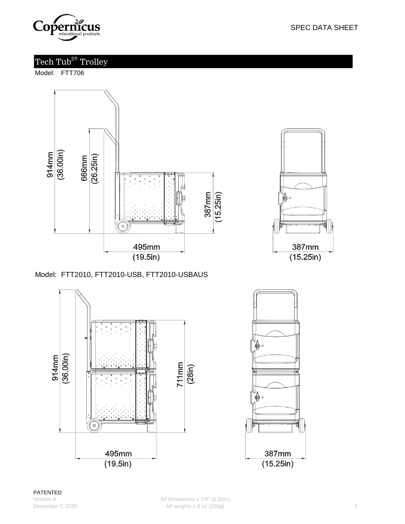

# Tech Tub<sup>2®</sup> Trolley

Model: FTT706





Model: FTT2010, FTT2010-USB, FTT2010-USBAUS



SPEC DATA SHEET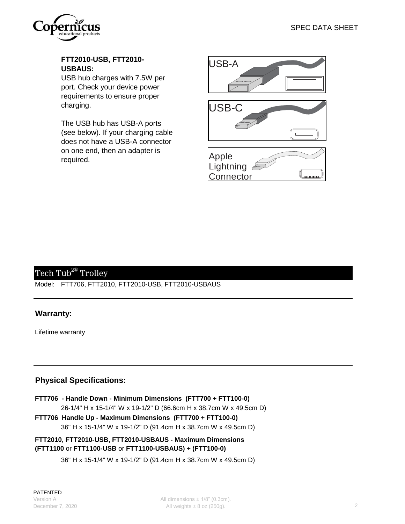

### **FTT2010-USB, FTT2010- USBAUS:**

USB hub charges with 7.5W per port. Check your device power requirements to ensure proper charging.

The USB hub has USB-A ports (see below). If your charging cable does not have a USB-A connector on one end, then an adapter is required.







## Tech Tub<sup>2®</sup> Trolley

Model: FTT706, FTT2010, FTT2010-USB, FTT2010-USBAUS

### **Warranty:**

Lifetime warranty

### **Physical Specifications:**

- 26-1/4" H x 15-1/4" W x 19-1/2" D (66.6cm H x 38.7cm W x 49.5cm D) **FTT706 - Handle Down - Minimum Dimensions (FTT700 + FTT100-0)**
- **FTT706 Handle Up Maximum Dimensions (FTT700 + FTT100-0)** 36" H x 15-1/4" W x 19-1/2" D (91.4cm H x 38.7cm W x 49.5cm D)

#### **FTT2010, FTT2010-USB, FTT2010-USBAUS - Maximum Dimensions (FTT1100** or **FTT1100-USB** or **FTT1100-USBAUS) + (FTT100-0)**

36" H x 15-1/4" W x 19-1/2" D (91.4cm H x 38.7cm W x 49.5cm D)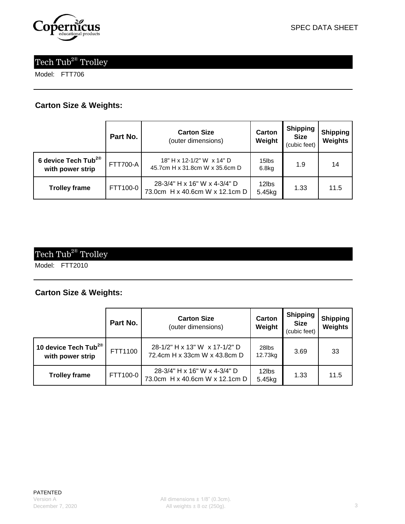

# Tech  $\operatorname{Tub}^{2\circledast}$  Trolley

Model: FTT706

### **Carton Size & Weights:**

|                                                     | Part No.        | <b>Carton Size</b><br>(outer dimensions)                       | Carton<br>Weight | <b>Shipping</b><br><b>Size</b><br>(cubic feet) | <b>Shipping</b><br>Weights |
|-----------------------------------------------------|-----------------|----------------------------------------------------------------|------------------|------------------------------------------------|----------------------------|
| 6 device Tech Tub <sup>2®</sup><br>with power strip | <b>FTT700-A</b> | 18" H x 12-1/2" W x 14" D<br>45.7cm H x 31.8cm W x 35.6cm D    | 15lbs<br>6.8kg   | 1.9                                            | 14                         |
| <b>Trolley frame</b>                                | FTT100-0        | 28-3/4" H x 16" W x 4-3/4" D<br>73.0cm H x 40.6cm W x 12.1cm D | 12lbs<br>5.45kg  | 1.33                                           | 11.5                       |

# Tech  $\mathrm{Tub}^{2\circledast}$  Trolley

Model: FTT2010

### **Carton Size & Weights:**

|                                                      | Part No. | <b>Carton Size</b><br>(outer dimensions)                       | Carton<br>Weight | <b>Shipping</b><br><b>Size</b><br>(cubic feet) | Shipping<br>Weights |
|------------------------------------------------------|----------|----------------------------------------------------------------|------------------|------------------------------------------------|---------------------|
| 10 device Tech Tub <sup>2®</sup><br>with power strip | FTT1100  | 28-1/2" H x 13" W x 17-1/2" D<br>72.4cm H x 33cm W x 43.8cm D  | 28lbs<br>12.73kg | 3.69                                           | -33                 |
| <b>Trolley frame</b>                                 | FTT100-0 | 28-3/4" H x 16" W x 4-3/4" D<br>73.0cm H x 40.6cm W x 12.1cm D | 12lbs<br>5.45kg  | 1.33                                           | 11.5                |